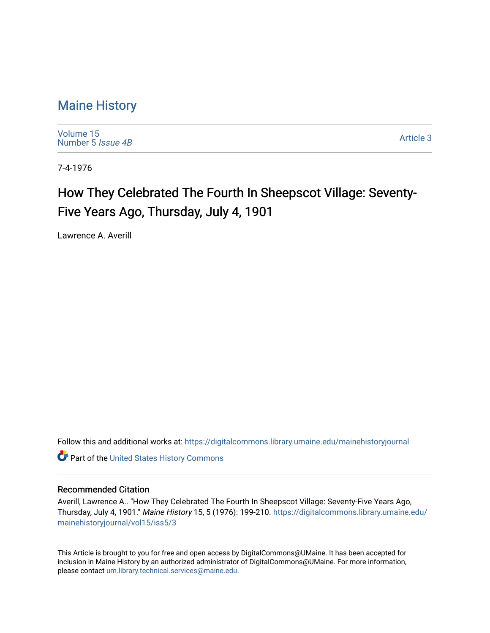### [Maine History](https://digitalcommons.library.umaine.edu/mainehistoryjournal)

[Volume 15](https://digitalcommons.library.umaine.edu/mainehistoryjournal/vol15) [Number 5](https://digitalcommons.library.umaine.edu/mainehistoryjournal/vol15/iss5) Issue 4B

[Article 3](https://digitalcommons.library.umaine.edu/mainehistoryjournal/vol15/iss5/3) 

7-4-1976

# How They Celebrated The Fourth In Sheepscot Village: Seventy-Five Years Ago, Thursday, July 4, 1901

Lawrence A. Averill

Follow this and additional works at: [https://digitalcommons.library.umaine.edu/mainehistoryjournal](https://digitalcommons.library.umaine.edu/mainehistoryjournal?utm_source=digitalcommons.library.umaine.edu%2Fmainehistoryjournal%2Fvol15%2Fiss5%2F3&utm_medium=PDF&utm_campaign=PDFCoverPages) 

**Part of the United States History Commons** 

#### Recommended Citation

Averill, Lawrence A.. "How They Celebrated The Fourth In Sheepscot Village: Seventy-Five Years Ago, Thursday, July 4, 1901." Maine History 15, 5 (1976): 199-210. [https://digitalcommons.library.umaine.edu/](https://digitalcommons.library.umaine.edu/mainehistoryjournal/vol15/iss5/3?utm_source=digitalcommons.library.umaine.edu%2Fmainehistoryjournal%2Fvol15%2Fiss5%2F3&utm_medium=PDF&utm_campaign=PDFCoverPages) [mainehistoryjournal/vol15/iss5/3](https://digitalcommons.library.umaine.edu/mainehistoryjournal/vol15/iss5/3?utm_source=digitalcommons.library.umaine.edu%2Fmainehistoryjournal%2Fvol15%2Fiss5%2F3&utm_medium=PDF&utm_campaign=PDFCoverPages)

This Article is brought to you for free and open access by DigitalCommons@UMaine. It has been accepted for inclusion in Maine History by an authorized administrator of DigitalCommons@UMaine. For more information, please contact [um.library.technical.services@maine.edu.](mailto:um.library.technical.services@maine.edu)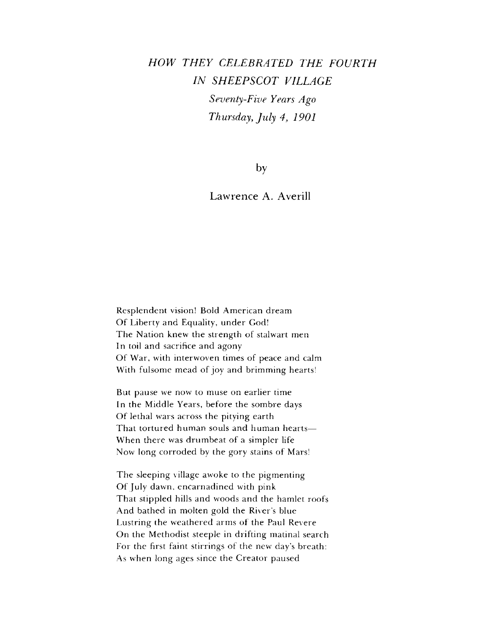# *HOW THEY CELEBRATED THE FOURTH IN SHEEPSCOT VILLAGE Seventy-Five Years Ago Thursday, July 4, 1901*

by

### Lawrence A. Averill

Resplendent vision! Bold American dream Of Liberty and Equality, under God! The Nation knew the strength of stalwart men In toil and sacrifice and agony Of War, with interwoven times of peace and calm With fulsome mead of joy and brimming hearts!

But pause we now to muse on earlier time In the Middle Years, before the sombre days Of lethal wars across the pitying earth That tortured human souls and human hearts— When there was drumbeat of a simpler life Now long corroded by the gory stains of Mars!

The sleeping village awoke to the pigmenting Of July dawn, encarnadined with pink That stippled hills and woods and the hamlet roofs And bathed in molten gold the River'<sup>s</sup> blue Lustring the weathered arms of the Paul Revere On the Methodist steeple in drifting matinal search For the first faint stirrings of the new day'<sup>s</sup> breath: As when long ages since the Creator paused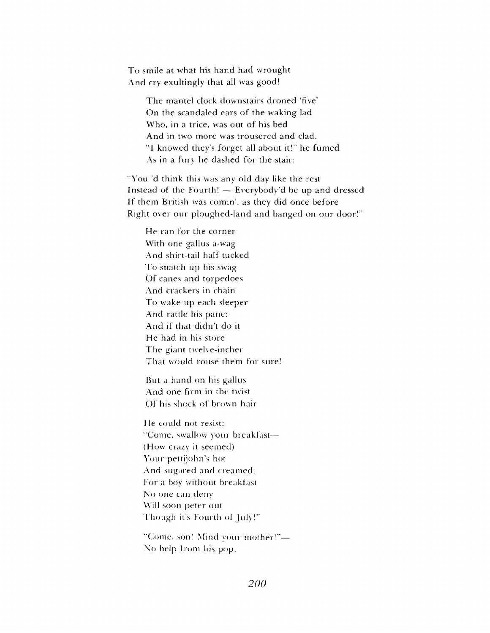To smile at what his hand had wrought And cry exultingly that all was good!

> The mantel clock downstairs droned 'five' On the scandaled ears of the waking lad Who, in a trice, was out of his bed And in two more was trousered and clad. "<sup>I</sup> knowed they'<sup>s</sup> forget all about it!" he fumed As in a fury he dashed for the stair:

"You 'd think this was any old day like the rest Instead of the Fourth! — Everybody'd be up and dressed If them British was comin', as they did once before Right over our ploughed-land and banged on our door!"

He ran for the corner With one gallus a-wag And shirt-tail half tucked To snatch up his swag Of canes and torpedoes And crackers in chain To wake up each sleeper And rattle his pane: And if that didn'<sup>t</sup> do it He had in his store The giant twelve-incher That would rouse them for sure!

But a hand on his gallus And one firm in the twist Of his shock of brown hair

He could not resist: "Come, swallow your breakfast— (How crazy it seemed) Your pettijohn'<sup>s</sup> hot And sugared and creamed: For a boy without breaklast No one can deny Will soon peter out <sup>1</sup> hough it'<sup>s</sup> Fourth of July!"

"Come, son! Mind your mother!"— No help from his pop,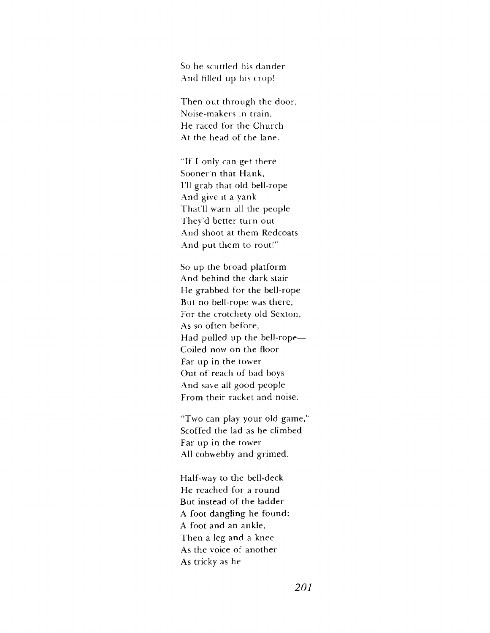So he scuttled his dander And filled up his crop!

Then out through the door, Noise-makers in train, He raced for the Church At the head of the lane.

"If <sup>I</sup> only can get there Sooner'n that Hank, I'll grab that old bell-rope And give it a yank That'll warn all the people They'd better turn out And shoot at them Redcoats And put them to rout!"

So up the broad platform And behind the dark stair He grabbed for the bell-rope But no bell-rope was there, For the crotchety old Sexton, As so often before, Had pulled up the bell-rope— Coiled now on the floor Far up in the tower Out of reach of bad boys And save all good people From their racket and noise,

"Two can play your old game,' Scoffed the lad as he climbed Far up in the tower All cobwebby and grimed.

Half-way to the bell-deck He reached for a round But instead of the ladder A foot dangling he found: A foot and an ankle, Then a leg and a knee As the voice of another As tricky as he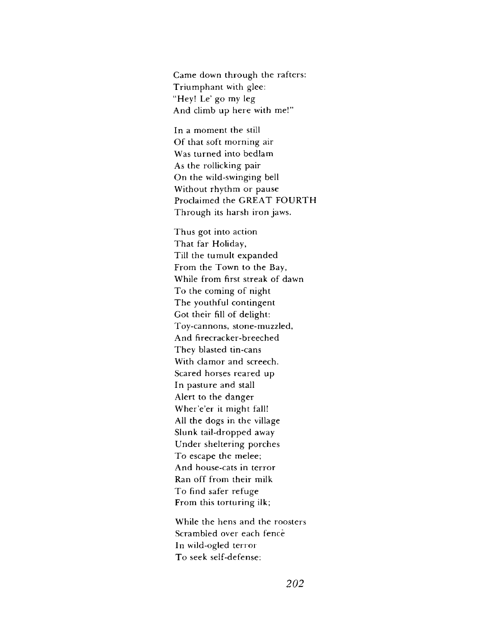Came down through the rafters: Triumphant with glee: "Hey! Le' go my leg And climb up here with me!"

In a moment the still Of that soft morning air Was turned into bedlam As the rollicking pair On the wild-swinging bell Without rhythm or pause Proclaimed the GREAT FOURTH Through its harsh iron jaws.

Thus got into action That far Holiday, Till the tumult expanded From the Town to the Bay, While from first streak of dawn To the coming of night The youthful contingent Got their fill of delight: Toy-cannons, stone-muzzled, And firecracker-breeched They blasted tin-cans With clamor and screech. Scared horses reared up In pasture and stall Alert to the danger Wher'e'er it might fall! All the dogs in the village Slunk tail-dropped away Under sheltering porches To escape the melee; And house-cats in terror Ran off from their milk To find safer refuge From this torturing ilk;

While the hens and the roosters Scrambled over each fence In wild-ogled terror To seek self-defense: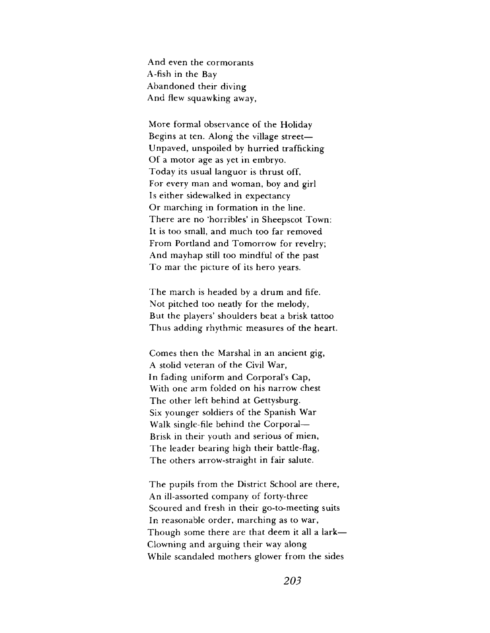And even the cormorants A-fish in the Bay Abandoned their diving And flew squawking away,

More formal observance of the Holiday Begins at ten. Along the village street— Unpaved, unspoiled by hurried trafficking Of a motor age as yet in embryo. Today its usual languor is thrust off, For every man and woman, boy and girl Is either sidewalked in expectancy Or marching in formation in the line. There are no 'horribles' in Sheepscot Town: It is too small, and much too far removed From Portland and Tomorrow for revelry; And mayhap still too mindful of the past To mar the picture of its hero years.

The march is headed by a drum and fife. Not pitched too neatly for the melody, But the players' shoulders beat a brisk tattoo Thus adding rhythmic measures of the heart.

Comes then the Marshal in an ancient gig, A stolid veteran of the Civil War, In fading uniform and Corporal'<sup>s</sup> Cap, With one arm folded on his narrow chest The other left behind at Gettysburg. Six younger soldiers of the Spanish War Walk single-file behind the Corporal— Brisk in their youth and serious of mien, The leader bearing high their battle-flag, The others arrow-straight in fair salute.

The pupils from the District School are there, An ill-assorted company of forty-three Scoured and fresh in their go-to-meeting suits In reasonable order, marching as to war, Though some there are that deem it all a lark— Clowning and arguing their way along While scandaled mothers glower from the sides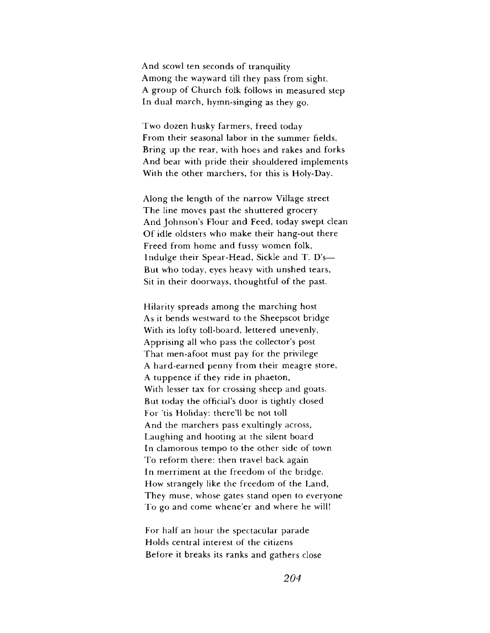And scowl ten seconds of tranquility Among the wayward till they pass from sight. A group of Church folk follows in measured step In dual march, hymn-singing as they go.

Two dozen husky farmers, freed today From their seasonal labor in the summer fields, Bring up the rear, with hoes and rakes and forks And bear with pride their shouldered implements With the other marchers, for this is Holy-Day.

Along the length of the narrow Village street The line moves past the shuttered grocery And Johnson'<sup>s</sup> Flour and Feed, today swept clean Of idle oldsters who make their hang-out there Freed from home and fussy women folk, Indulge their Spear-Head, Sickle and T. D's— But who today, eyes heavy with unshed tears, Sit in their doorways, thoughtful of the past.

Hilarity spreads among the marching host As it bends westward to the Sheepscot bridge With its lofty toll-board, lettered unevenly, Apprising all who pass the collector's post That men-afoot must pay for the privilege A hard-earned penny from their meagre store, A tuppence if they ride in phaeton, With lesser tax for crossing sheep and goats. But today the official'<sup>s</sup> door is tightly closed For 'tis Holiday: there'll be not toll And the marchers pass exultingly across, Laughing and hooting at the silent board In clamorous tempo to the other side of town To reform there: then travel back again In merriment at the freedom of the bridge. How strangely like the freedom of the Land, They muse, whose gates stand open to everyone To go and come whene'er and where he will!

For half an hour the spectacular parade Holds central interest of the citizens Before it breaks its ranks and gathers close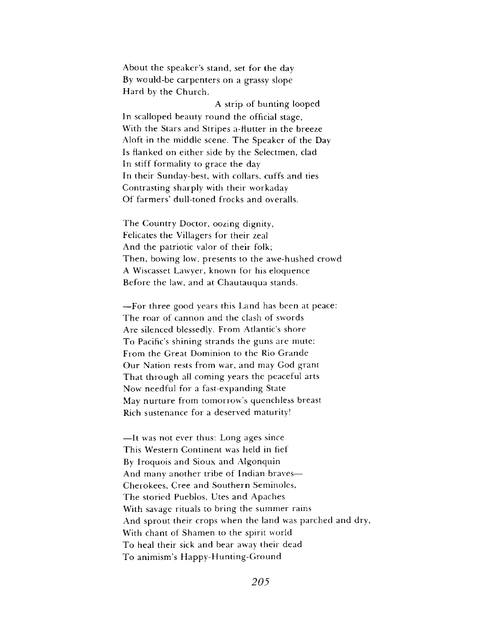About the speaker's stand, set for the day By would-be carpenters on a grassy slope Hard by the Church.

A strip of bunting looped In scalloped beauty round the official stage, With the Stars and Stripes a-flutter in the breeze Aloft in the middle scene. The Speaker of the Day Is flanked on either side by the Selectmen, clad In stiff formality to grace the day In their Sunday-best, with collars, cuffs and ties Contrasting sharply with their workaday Of farmers' dull-toned frocks and overalls.

The Country Doctor, oozing dignity, Felicates the Villagers for their zeal And the patriotic valor of their folk; Then, bowing low, presents to the awe-hushed crowd A Wiscasset Lawyer, known for his eloquence Before the law, and at Chautauqua stands.

—For three good years this Land has been at peace: The roar of cannon and the clash of swords Are silenced blessedly. From Atlantic's shore To Pacific's shining strands the guns are mute: From the Great Dominion to the Rio Grande Our Nation rests from war, and may God grant That through all coming years the peaceful arts Now needful for a fast-expanding State May nurture from tomorrow's quenchless breast Rich sustenance for a deserved maturity!

—It was not ever thus: Long ages since This Western Continent was held in fief By Iroquois and Sioux and Algonquin And many another tribe of Indian braves— Cherokees, Cree and Southern Seminoles, The storied Pueblos, Utes and Apaches With savage rituals to bring the summer rains And sprout their crops when the land was parched and dry, With chant of Shamen to the spirit world To heal their sick and bear away their dead To animism's Happy-Hunting-Ground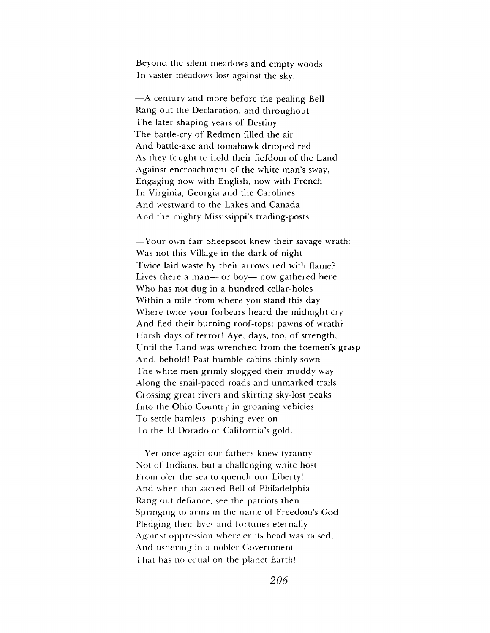Beyond the silent meadows and empty woods In vaster meadows lost against the sky.

—A century and more before the pealing Bell Rang out the Declaration, and throughout The later shaping years of Destiny The battle-cry of Redmen filled the air And battle-axe and tomahawk dripped red As they fought to hold their fiefdom of the Land Against encroachment of the white man'<sup>s</sup> sway, Engaging now with English, now with French In Virginia, Georgia and the Carolines And westward to the Lakes and Canada And the mighty Mississippi's trading-posts.

—Your own fair Sheepscot knew their savage wrath: Was not this Village in the dark of night Twice laid waste by their arrows red with flame? Lives there a man— or boy— now gathered here Who has not dug in a hundred cellar-holes Within a mile from where you stand this day Where twice your forbears heard the midnight cry And fled their burning roof-tops: pawns of wrath? Harsh days of terror! Aye, days, too, of strength, Until the Land was wrenched from the foemen's grasp And, behold! Past humble cabins thinly sown The white men grimly slogged their muddy way Along the snail-paced roads and unmarked trails Crossing great rivers and skirting sky-lost peaks Into the Ohio Country in groaning vehicles To settle hamlets, pushing ever on To the El Dorado of California'<sup>s</sup> gold.

—Yet once again our fathers knew tyranny— Not of Indians, but a challenging white host From o'er the sea to quench our Liberty! And when that sacred Bell of Philadelphia Rang out defiance, see the patriots then Springing to arms in the name of Freedom'<sup>s</sup> God Pledging their lives and fortunes eternally Against oppression where'er its head was raised, And ushering in a nobler Government That has no equal on the planet Earth!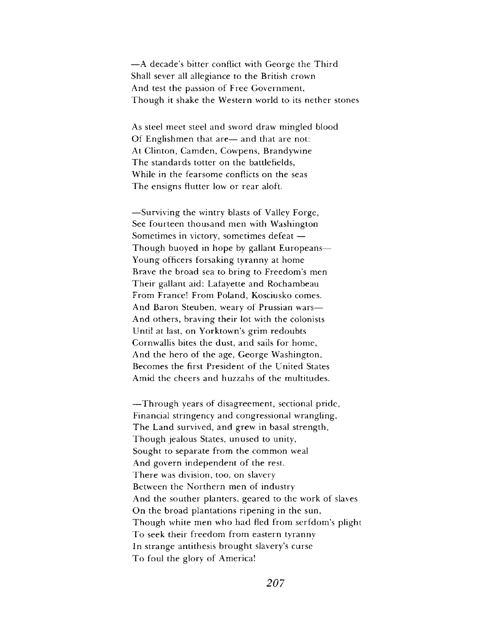—A decade'<sup>s</sup> bitter conflict with George the Third Shall sever all allegiance to the British crown And test the passion of Free Government, Though it shake the Western world to its nether stones

As steel meet steel and sword draw mingled blood Of Englishmen that are— and that are not: At Clinton, Camden, Cowpens, Brandywine The standards totter on the battlefields, While in the fearsome conflicts on the seas The ensigns flutter low or rear aloft.

—Surviving the wintry blasts of Valley Forge, See fourteen thousand men with Washington Sometimes in victory, sometimes defeat — Though buoyed in hope by gallant Europeans— Young officers forsaking tyranny at home Brave the broad sea to bring to Freedom'<sup>s</sup> men Their gallant aid: Lafayette and Rochambeau From France! From Poland, Kosciusko comes. And Baron Steuben, weary of Prussian wars— And others, braving their lot with the colonists Until at last, on Yorktown's grim redoubts Cornwallis bites the dust, and sails for home, And the hero of the age, George Washington, Becomes the first President of the United States Amid the cheers and huzzahs of the multitudes.

—Through years of disagreement, sectional pride, Financial stringency and congressional wrangling, The Land survived, and grew in basal strength, Though jealous States, unused to unity, Sought to separate from the common weal And govern independent of the rest. There was division, too, on slavery Between the Northern men of industry And the souther planters, geared to the work of slaves On the broad plantations ripening in the sun, Though white men who had fled from serfdom'<sup>s</sup> plight To seek their freedom from eastern tyranny In strange antithesis brought slavery'<sup>s</sup> curse To foul the glory of America!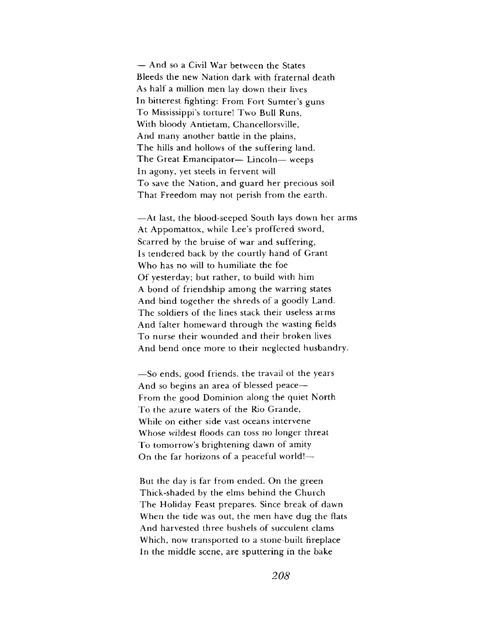— And so a Civil War between the States Bleeds the new Nation dark with fraternal death As half a million men lay down their lives In bitterest fighting: From Fort Sumter's guns To Mississippi's torture! Two Bull Runs, With bloody Antietam, Chancellorsville, And many another battle in the plains, The hills and hollows of the suffering land. The Great Emancipator— Lincoln— weeps In agony, yet steels in fervent will To save the Nation, and guard her precious soil That Freedom may not perish from the earth.

—At last, the blood-seeped South lays down her arms At Appomattox, while Lee'<sup>s</sup> proffered sword, Scarred by the bruise of war and suffering, Is tendered back by the courtly hand of Grant Who has no will to humiliate the foe Of yesterday; but rather, to build with him A bond of friendship among the warring states And bind together the shreds of a goodly Land. The soldiers of the lines stack their useless arms And falter homeward through the wasting fields To nurse their wounded and their broken lives And bend once more to their neglected husbandry.

—So ends, good friends, the travail of the years And so begins an area of blessed peace— From the good Dominion along the quiet North To the azure waters of the Rio Grande, While on either side vast oceans intervene Whose wildest floods can toss no longer threat To tomorrow'<sup>s</sup> brightening dawn of amity On the far horizons of a peaceful world!—

But the day is far from ended. On the green Thick-shaded by the elms behind the Church The Holiday Feast prepares. Since break of dawn When the tide was out, the men have dug the flats And harvested three bushels of succulent clams Which, now transported to a stone-built fireplace In the middle scene, are sputtering in the bake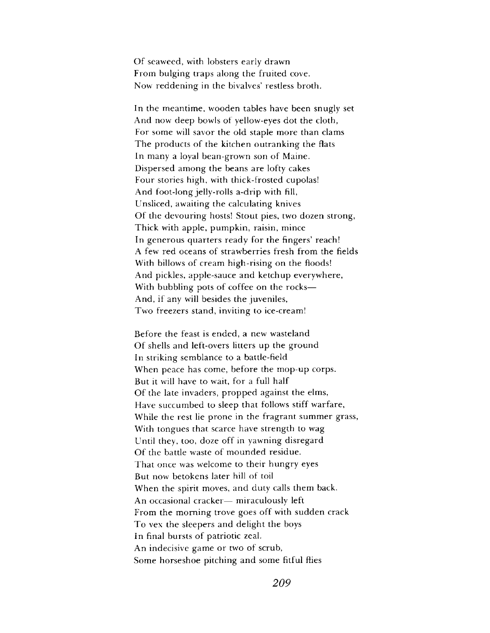Of seaweed, with lobsters early drawn From bulging traps along the fruited cove. Now reddening in the bivalves' restless broth.

In the meantime, wooden tables have been snugly set And now deep bowls of yellow-eyes dot the cloth, For some will savor the old staple more than clams The products of the kitchen outranking the flats In many a loyal bean-grown son of Maine. Dispersed among the beans are lofty cakes Four stories high, with thick-frosted cupolas! And foot-long jelly-rolls a-drip with fill, Unsliced, awaiting the calculating knives Of the devouring hosts! Stout pies, two dozen strong, Thick with apple, pumpkin, raisin, mince In generous quarters ready for the fingers' reach! A few red oceans of strawberries fresh from the fields With billows of cream high-rising on the floods! And pickles, apple-sauce and ketchup everywhere, With bubbling pots of coffee on the rocks— And, if any will besides the juveniles, Two freezers stand, inviting to ice-cream!

Before the feast is ended, a new wasteland Of shells and left-overs litters up the ground In striking semblance to a battle-field When peace has come, before the mop-up corps. But it will have to wait, for a full half Of the late invaders, propped against the elms, Have succumbed to sleep that follows stiff warfare, While the rest lie prone in the fragrant summer grass, With tongues that scarce have strength to wag Until they, too, doze off in yawning disregard Of the battle waste of mounded residue. That once was welcome to their hungry eyes But now betokens later hill of toil When the spirit moves, and duty calls them back. An occasional cracker— miraculously left From the morning trove goes off with sudden crack To vex the sleepers and delight the boys In final bursts of patriotic zeal. An indecisive game or two of scrub, Some horseshoe pitching and some fitful flies